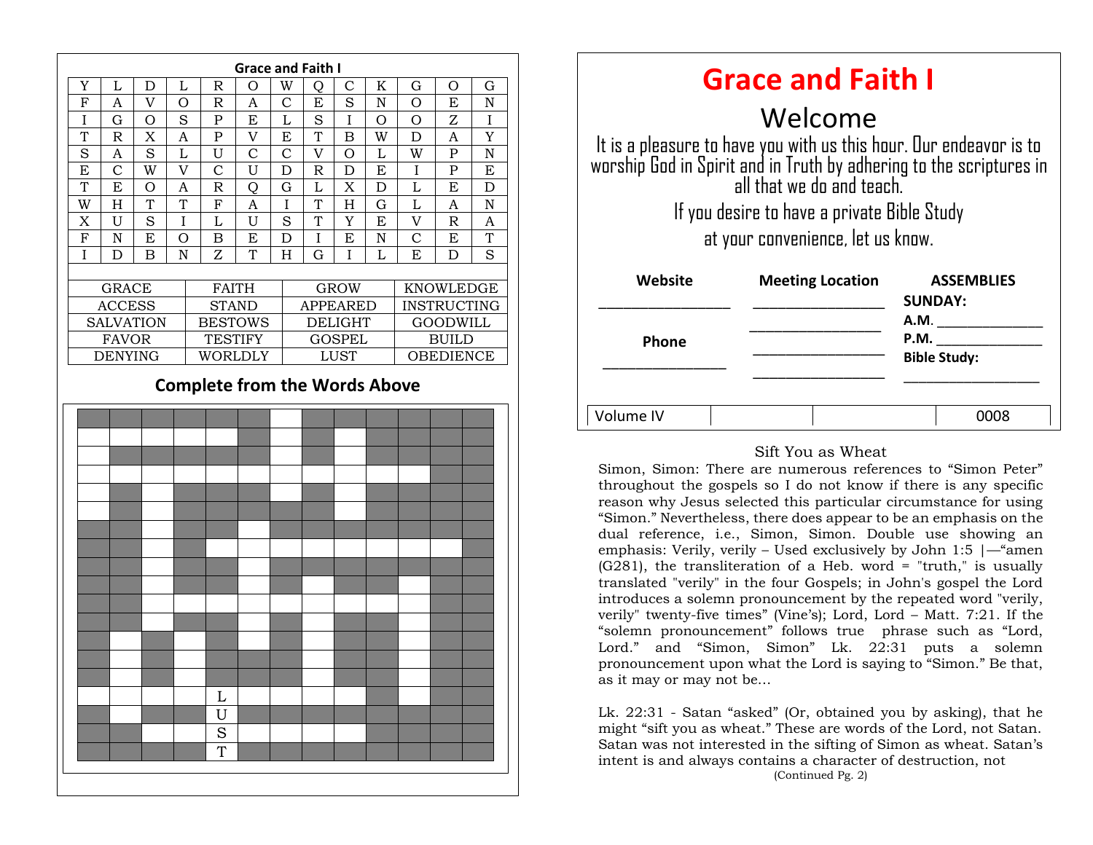

| <b>Grace and Faith I</b>                                                                                                                                               |                         |                                     |
|------------------------------------------------------------------------------------------------------------------------------------------------------------------------|-------------------------|-------------------------------------|
| Welcome                                                                                                                                                                |                         |                                     |
| It is a pleasure to have you with us this hour. Our endeavor is to<br>worship God in Spirit and in Truth by adhering to the scriptures in<br>all that we do and teach. |                         |                                     |
| If you desire to have a private Bible Study                                                                                                                            |                         |                                     |
| at your convenience, let us know.                                                                                                                                      |                         |                                     |
| Website                                                                                                                                                                | <b>Meeting Location</b> | <b>ASSEMBLIES</b><br><b>SUNDAY:</b> |
|                                                                                                                                                                        |                         | <b>A.M.</b>                         |
| <b>Phone</b>                                                                                                                                                           |                         | P.M.<br><b>Bible Study:</b>         |
| Volume IV                                                                                                                                                              |                         | 0008                                |

#### Sift You as Wheat

dual reference, i.e., Simon, Simon. Double use showing an Simon, Simon: There are numerous references to "Simon Peter" throughout the gospels so I do not know if there is any specific reason why Jesus selected this particular circumstance for using "Simon." Nevertheless, there does appear to be an emphasis on the emphasis: Verily, verily – Used exclusively by John 1:5  $\frac{4}{2}$  men  $(G281)$ , the transliteration of a Heb. word = "truth," is usually translated "verily" in the four Gospels; in John's gospel the Lord introduces a solemn pronouncement by the repeated word "verily, verily" twenty-five times" (Vine's); Lord, Lord – Matt. 7:21. If the "solemn pronouncement" follows true phrase such as "Lord, Lord." and "Simon, Simon" Lk. 22:31 puts a solemn pronouncement upon what the Lord is saying to "Simon." Be that, as it may or may not be…

Lk. 22:31 - Satan "asked" (Or, obtained you by asking), that he might "sift you as wheat." These are words of the Lord, not Satan. Satan was not interested in the sifting of Simon as wheat. Satan's intent is and always contains a character of destruction, not